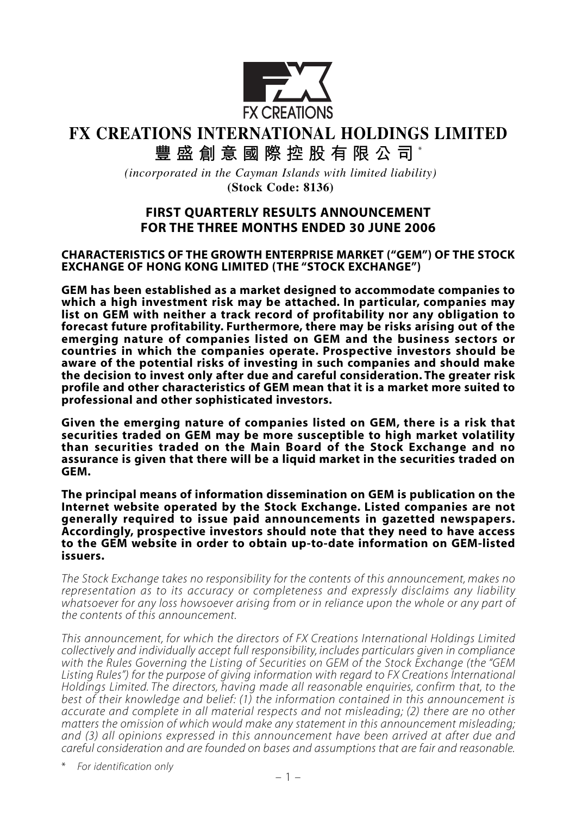

# **FX CREATIONS INTERNATIONAL HOLDINGS LIMITED 豐盛創意國際控股有限公司** \*

*(incorporated in the Cayman Islands with limited liability)*

**(Stock Code: 8136)**

### **FIRST QUARTERLY RESULTS ANNOUNCEMENT FOR THE THREE MONTHS ENDED 30 JUNE 2006**

#### **CHARACTERISTICS OF THE GROWTH ENTERPRISE MARKET ("GEM") OF THE STOCK EXCHANGE OF HONG KONG LIMITED (THE "STOCK EXCHANGE")**

**GEM has been established as a market designed to accommodate companies to which a high investment risk may be attached. In particular, companies may list on GEM with neither a track record of profitability nor any obligation to forecast future profitability. Furthermore, there may be risks arising out of the emerging nature of companies listed on GEM and the business sectors or countries in which the companies operate. Prospective investors should be aware of the potential risks of investing in such companies and should make the decision to invest only after due and careful consideration. The greater risk profile and other characteristics of GEM mean that it is a market more suited to professional and other sophisticated investors.**

**Given the emerging nature of companies listed on GEM, there is a risk that securities traded on GEM may be more susceptible to high market volatility than securities traded on the Main Board of the Stock Exchange and no assurance is given that there will be a liquid market in the securities traded on GEM.**

**The principal means of information dissemination on GEM is publication on the Internet website operated by the Stock Exchange. Listed companies are not generally required to issue paid announcements in gazetted newspapers. Accordingly, prospective investors should note that they need to have access to the GEM website in order to obtain up-to-date information on GEM-listed issuers.**

*The Stock Exchange takes no responsibility for the contents of this announcement, makes no representation as to its accuracy or completeness and expressly disclaims any liability whatsoever for any loss howsoever arising from or in reliance upon the whole or any part of the contents of this announcement.*

*This announcement, for which the directors of FX Creations International Holdings Limited collectively and individually accept full responsibility, includes particulars given in compliance with the Rules Governing the Listing of Securities on GEM of the Stock Exchange (the "GEM Listing Rules") for the purpose of giving information with regard to FX Creations International Holdings Limited. The directors, having made all reasonable enquiries, confirm that, to the best of their knowledge and belief: (1) the information contained in this announcement is accurate and complete in all material respects and not misleading; (2) there are no other matters the omission of which would make any statement in this announcement misleading; and (3) all opinions expressed in this announcement have been arrived at after due and careful consideration and are founded on bases and assumptions that are fair and reasonable.*

\* *For identification only*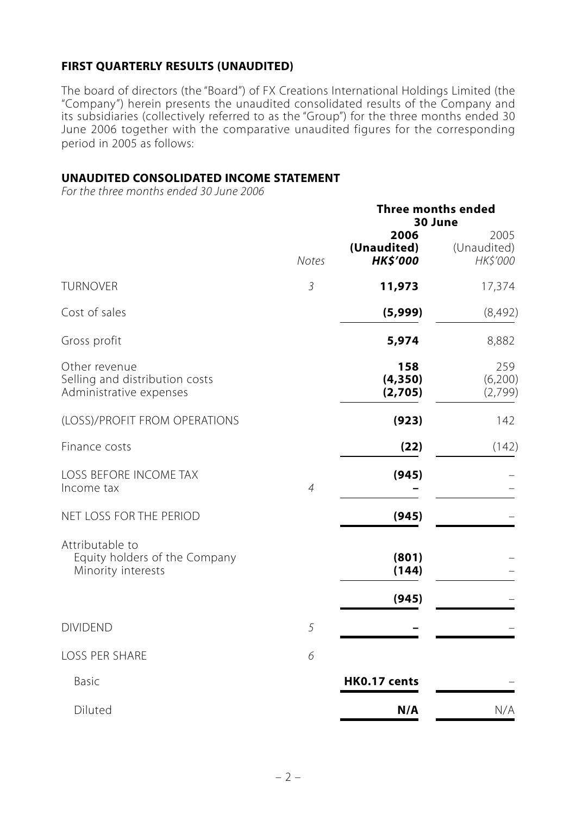### **FIRST QUARTERLY RESULTS (UNAUDITED)**

The board of directors (the "Board") of FX Creations International Holdings Limited (the "Company") herein presents the unaudited consolidated results of the Company and its subsidiaries (collectively referred to as the "Group") for the three months ended 30 June 2006 together with the comparative unaudited figures for the corresponding period in 2005 as follows:

#### **UNAUDITED CONSOLIDATED INCOME STATEMENT**

*For the three months ended 30 June 2006*

|                                                                            |                | <b>Three months ended</b><br>30 June   |                                 |  |  |
|----------------------------------------------------------------------------|----------------|----------------------------------------|---------------------------------|--|--|
|                                                                            | <b>Notes</b>   | 2006<br>(Unaudited)<br><b>HK\$'000</b> | 2005<br>(Unaudited)<br>HK\$'000 |  |  |
| <b>TURNOVER</b>                                                            | $\mathfrak{Z}$ | 11,973                                 | 17,374                          |  |  |
| Cost of sales                                                              |                | (5,999)                                | (8,492)                         |  |  |
| Gross profit                                                               |                | 5,974                                  | 8,882                           |  |  |
| Other revenue<br>Selling and distribution costs<br>Administrative expenses |                | 158<br>(4, 350)<br>(2,705)             | 259<br>(6,200)<br>(2,799)       |  |  |
| (LOSS)/PROFIT FROM OPERATIONS                                              |                | (923)                                  | 142                             |  |  |
| Finance costs                                                              |                | (22)                                   | (142)                           |  |  |
| LOSS BEFORE INCOME TAX<br>Income tax                                       | $\overline{4}$ | (945)                                  |                                 |  |  |
| NET LOSS FOR THE PERIOD                                                    |                | (945)                                  |                                 |  |  |
| Attributable to<br>Equity holders of the Company<br>Minority interests     |                | (801)<br>(144)                         |                                 |  |  |
|                                                                            |                | (945)                                  |                                 |  |  |
| <b>DIVIDEND</b>                                                            | 5              |                                        |                                 |  |  |
| <b>LOSS PER SHARE</b>                                                      | 6              |                                        |                                 |  |  |
| Basic                                                                      |                | HK0.17 cents                           |                                 |  |  |
| Diluted                                                                    |                | N/A                                    | N/A                             |  |  |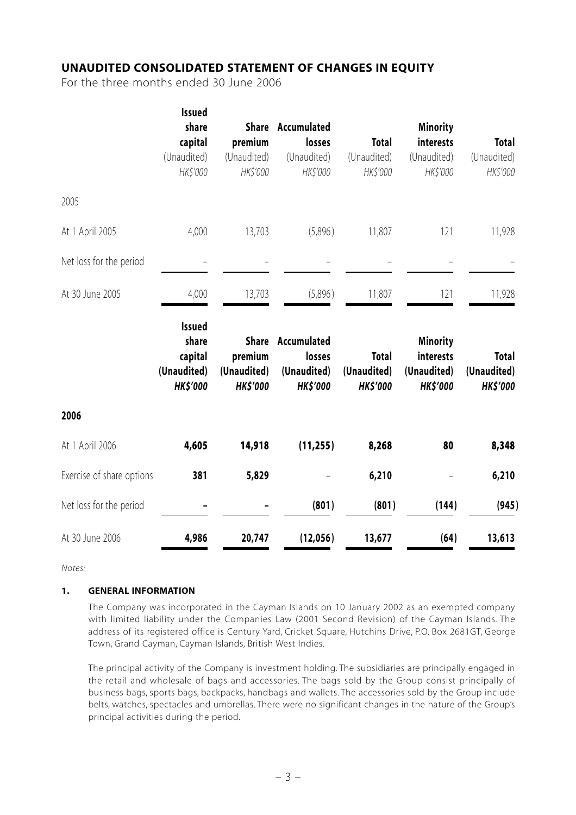#### **UNAUDITED CONSOLIDATED STATEMENT OF CHANGES IN EQUITY**

For the three months ended 30 June 2006

|                           | Issued<br>share<br>capital<br>(Unaudited)<br>HK\$'000               | premium<br>(Unaudited)<br>HK\$'000                        | Share Accumulated<br>losses<br>(Unaudited)<br>HK\$'000  | <b>Total</b><br>(Unaudited)<br>HK\$'000        | <b>Minority</b><br>interests<br>(Unaudited)<br>HK\$'000        | <b>Total</b><br>(Unaudited)<br>HK\$'000        |
|---------------------------|---------------------------------------------------------------------|-----------------------------------------------------------|---------------------------------------------------------|------------------------------------------------|----------------------------------------------------------------|------------------------------------------------|
| 2005                      |                                                                     |                                                           |                                                         |                                                |                                                                |                                                |
| At 1 April 2005           | 4,000                                                               | 13,703                                                    | (5,896)                                                 | 11,807                                         | 121                                                            | 11,928                                         |
| Net loss for the period   |                                                                     |                                                           |                                                         |                                                |                                                                |                                                |
| At 30 June 2005           | 4,000                                                               | 13,703                                                    | (5,896)                                                 | 11,807                                         | 121                                                            | 11,928                                         |
|                           | <b>Issued</b><br>share<br>capital<br>(Unaudited)<br><b>HK\$'000</b> | <b>Share</b><br>premium<br>(Unaudited)<br><b>HK\$'000</b> | Accumulated<br>losses<br>(Unaudited)<br><b>HK\$'000</b> | <b>Total</b><br>(Unaudited)<br><b>HK\$'000</b> | <b>Minority</b><br>interests<br>(Unaudited)<br><b>HK\$'000</b> | <b>Total</b><br>(Unaudited)<br><b>HK\$'000</b> |
| 2006                      |                                                                     |                                                           |                                                         |                                                |                                                                |                                                |
| At 1 April 2006           | 4,605                                                               | 14,918                                                    | (11, 255)                                               | 8,268                                          | 80                                                             | 8,348                                          |
| Exercise of share options | 381                                                                 | 5,829                                                     |                                                         | 6,210                                          |                                                                | 6,210                                          |
| Net loss for the period   |                                                                     |                                                           | (801)                                                   | (801)                                          | (144)                                                          | (945)                                          |
| At 30 June 2006           | 4,986                                                               | 20,747                                                    | (12,056)                                                | 13,677                                         | (64)                                                           | 13,613                                         |

*Notes:*

#### **1. GENERAL INFORMATION**

The Company was incorporated in the Cayman Islands on 10 January 2002 as an exempted company with limited liability under the Companies Law (2001 Second Revision) of the Cayman Islands. The address of its registered office is Century Yard, Cricket Square, Hutchins Drive, P.O. Box 2681GT, George Town, Grand Cayman, Cayman Islands, British West Indies.

The principal activity of the Company is investment holding. The subsidiaries are principally engaged in the retail and wholesale of bags and accessories. The bags sold by the Group consist principally of business bags, sports bags, backpacks, handbags and wallets. The accessories sold by the Group include belts, watches, spectacles and umbrellas. There were no significant changes in the nature of the Group's principal activities during the period.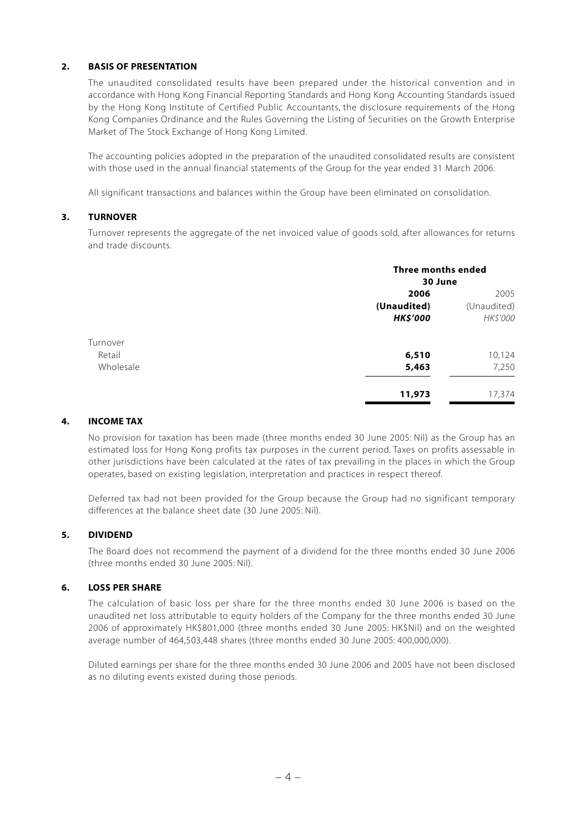#### **2. BASIS OF PRESENTATION**

The unaudited consolidated results have been prepared under the historical convention and in accordance with Hong Kong Financial Reporting Standards and Hong Kong Accounting Standards issued by the Hong Kong Institute of Certified Public Accountants, the disclosure requirements of the Hong Kong Companies Ordinance and the Rules Governing the Listing of Securities on the Growth Enterprise Market of The Stock Exchange of Hong Kong Limited.

The accounting policies adopted in the preparation of the unaudited consolidated results are consistent with those used in the annual financial statements of the Group for the year ended 31 March 2006.

All significant transactions and balances within the Group have been eliminated on consolidation.

#### **3. TURNOVER**

Turnover represents the aggregate of the net invoiced value of goods sold, after allowances for returns and trade discounts.

| <b>Three months ended</b> |             |  |
|---------------------------|-------------|--|
| 30 June                   |             |  |
| 2006                      | 2005        |  |
| (Unaudited)               | (Unaudited) |  |
| <b>HK\$'000</b>           | HK\$'000    |  |
|                           |             |  |
| 6,510                     | 10,124      |  |
| 5,463                     | 7,250       |  |
| 11,973                    | 17,374      |  |
|                           |             |  |

#### **4. INCOME TAX**

No provision for taxation has been made (three months ended 30 June 2005: Nil) as the Group has an estimated loss for Hong Kong profits tax purposes in the current period. Taxes on profits assessable in other jurisdictions have been calculated at the rates of tax prevailing in the places in which the Group operates, based on existing legislation, interpretation and practices in respect thereof.

Deferred tax had not been provided for the Group because the Group had no significant temporary differences at the balance sheet date (30 June 2005: Nil).

#### **5. DIVIDEND**

The Board does not recommend the payment of a dividend for the three months ended 30 June 2006 (three months ended 30 June 2005: Nil).

#### **6. LOSS PER SHARE**

The calculation of basic loss per share for the three months ended 30 June 2006 is based on the unaudited net loss attributable to equity holders of the Company for the three months ended 30 June 2006 of approximately HK\$801,000 (three months ended 30 June 2005: HK\$Nil) and on the weighted average number of 464,503,448 shares (three months ended 30 June 2005: 400,000,000).

Diluted earnings per share for the three months ended 30 June 2006 and 2005 have not been disclosed as no diluting events existed during those periods.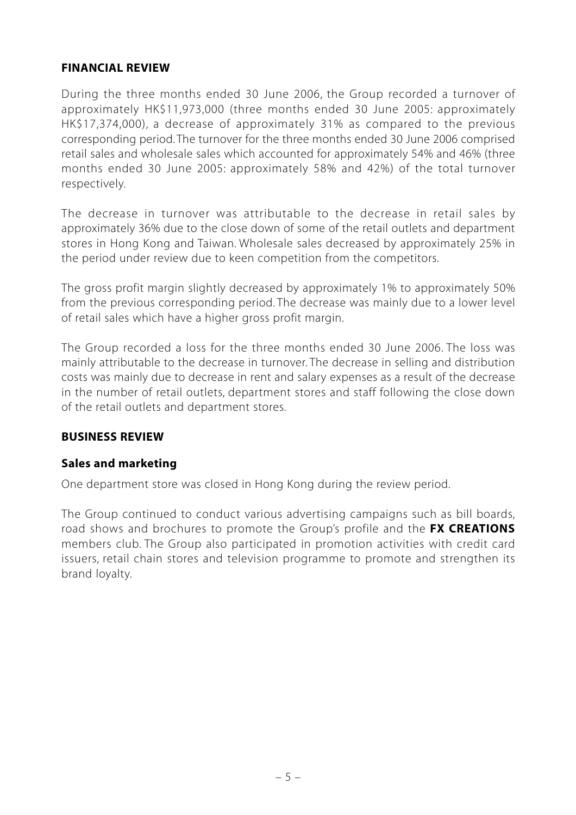#### **FINANCIAL REVIEW**

During the three months ended 30 June 2006, the Group recorded a turnover of approximately HK\$11,973,000 (three months ended 30 June 2005: approximately HK\$17,374,000), a decrease of approximately 31% as compared to the previous corresponding period. The turnover for the three months ended 30 June 2006 comprised retail sales and wholesale sales which accounted for approximately 54% and 46% (three months ended 30 June 2005: approximately 58% and 42%) of the total turnover respectively.

The decrease in turnover was attributable to the decrease in retail sales by approximately 36% due to the close down of some of the retail outlets and department stores in Hong Kong and Taiwan. Wholesale sales decreased by approximately 25% in the period under review due to keen competition from the competitors.

The gross profit margin slightly decreased by approximately 1% to approximately 50% from the previous corresponding period. The decrease was mainly due to a lower level of retail sales which have a higher gross profit margin.

The Group recorded a loss for the three months ended 30 June 2006. The loss was mainly attributable to the decrease in turnover. The decrease in selling and distribution costs was mainly due to decrease in rent and salary expenses as a result of the decrease in the number of retail outlets, department stores and staff following the close down of the retail outlets and department stores.

### **BUSINESS REVIEW**

#### **Sales and marketing**

One department store was closed in Hong Kong during the review period.

The Group continued to conduct various advertising campaigns such as bill boards, road shows and brochures to promote the Group's profile and the **FX CREATIONS** members club. The Group also participated in promotion activities with credit card issuers, retail chain stores and television programme to promote and strengthen its brand loyalty.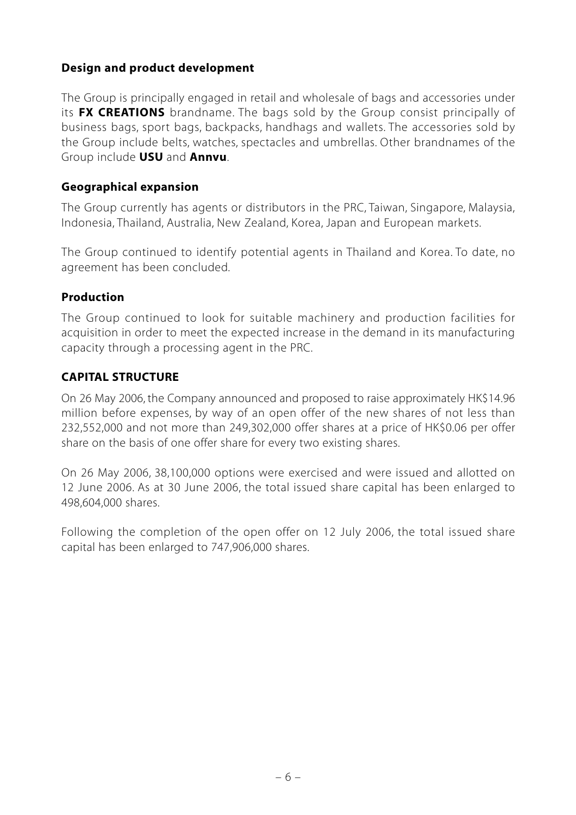# **Design and product development**

The Group is principally engaged in retail and wholesale of bags and accessories under its **FX CREATIONS** brandname. The bags sold by the Group consist principally of business bags, sport bags, backpacks, handhags and wallets. The accessories sold by the Group include belts, watches, spectacles and umbrellas. Other brandnames of the Group include **USU** and **Annvu**.

### **Geographical expansion**

The Group currently has agents or distributors in the PRC, Taiwan, Singapore, Malaysia, Indonesia, Thailand, Australia, New Zealand, Korea, Japan and European markets.

The Group continued to identify potential agents in Thailand and Korea. To date, no agreement has been concluded.

### **Production**

The Group continued to look for suitable machinery and production facilities for acquisition in order to meet the expected increase in the demand in its manufacturing capacity through a processing agent in the PRC.

### **CAPITAL STRUCTURE**

On 26 May 2006, the Company announced and proposed to raise approximately HK\$14.96 million before expenses, by way of an open offer of the new shares of not less than 232,552,000 and not more than 249,302,000 offer shares at a price of HK\$0.06 per offer share on the basis of one offer share for every two existing shares.

On 26 May 2006, 38,100,000 options were exercised and were issued and allotted on 12 June 2006. As at 30 June 2006, the total issued share capital has been enlarged to 498,604,000 shares.

Following the completion of the open offer on 12 July 2006, the total issued share capital has been enlarged to 747,906,000 shares.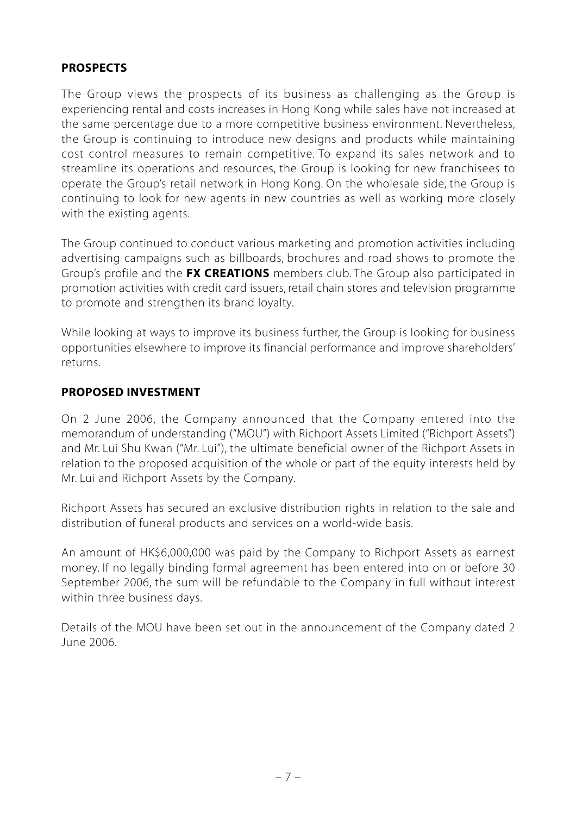# **PROSPECTS**

The Group views the prospects of its business as challenging as the Group is experiencing rental and costs increases in Hong Kong while sales have not increased at the same percentage due to a more competitive business environment. Nevertheless, the Group is continuing to introduce new designs and products while maintaining cost control measures to remain competitive. To expand its sales network and to streamline its operations and resources, the Group is looking for new franchisees to operate the Group's retail network in Hong Kong. On the wholesale side, the Group is continuing to look for new agents in new countries as well as working more closely with the existing agents.

The Group continued to conduct various marketing and promotion activities including advertising campaigns such as billboards, brochures and road shows to promote the Group's profile and the **FX CREATIONS** members club. The Group also participated in promotion activities with credit card issuers, retail chain stores and television programme to promote and strengthen its brand loyalty.

While looking at ways to improve its business further, the Group is looking for business opportunities elsewhere to improve its financial performance and improve shareholders' returns.

#### **PROPOSED INVESTMENT**

On 2 June 2006, the Company announced that the Company entered into the memorandum of understanding ("MOU") with Richport Assets Limited ("Richport Assets") and Mr. Lui Shu Kwan ("Mr. Lui"), the ultimate beneficial owner of the Richport Assets in relation to the proposed acquisition of the whole or part of the equity interests held by Mr. Lui and Richport Assets by the Company.

Richport Assets has secured an exclusive distribution rights in relation to the sale and distribution of funeral products and services on a world-wide basis.

An amount of HK\$6,000,000 was paid by the Company to Richport Assets as earnest money. If no legally binding formal agreement has been entered into on or before 30 September 2006, the sum will be refundable to the Company in full without interest within three business days.

Details of the MOU have been set out in the announcement of the Company dated 2 June 2006.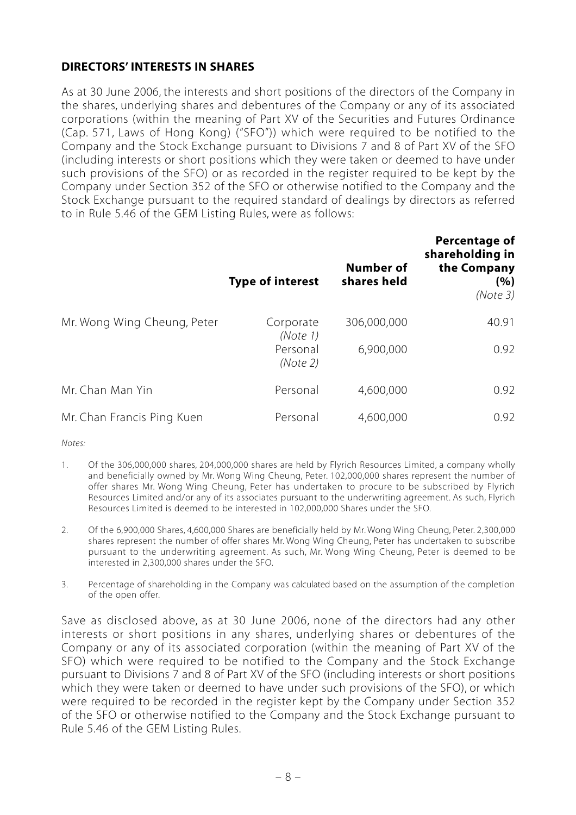#### **DIRECTORS' INTERESTS IN SHARES**

As at 30 June 2006, the interests and short positions of the directors of the Company in the shares, underlying shares and debentures of the Company or any of its associated corporations (within the meaning of Part XV of the Securities and Futures Ordinance (Cap. 571, Laws of Hong Kong) ("SFO")) which were required to be notified to the Company and the Stock Exchange pursuant to Divisions 7 and 8 of Part XV of the SFO (including interests or short positions which they were taken or deemed to have under such provisions of the SFO) or as recorded in the register required to be kept by the Company under Section 352 of the SFO or otherwise notified to the Company and the Stock Exchange pursuant to the required standard of dealings by directors as referred to in Rule 5.46 of the GEM Listing Rules, were as follows:

|                             | <b>Type of interest</b> | <b>Number of</b><br>shares held | Percentage of<br>shareholding in<br>the Company<br>(%)<br>(Note 3) |
|-----------------------------|-------------------------|---------------------------------|--------------------------------------------------------------------|
| Mr. Wong Wing Cheung, Peter | Corporate<br>(Note 1)   | 306,000,000                     | 40.91                                                              |
|                             | Personal<br>(Note 2)    | 6,900,000                       | 0.92                                                               |
| Mr. Chan Man Yin            | Personal                | 4,600,000                       | 0.92                                                               |
| Mr. Chan Francis Ping Kuen  | Personal                | 4,600,000                       | 0.92                                                               |

*Notes:*

- 1. Of the 306,000,000 shares, 204,000,000 shares are held by Flyrich Resources Limited, a company wholly and beneficially owned by Mr. Wong Wing Cheung, Peter. 102,000,000 shares represent the number of offer shares Mr. Wong Wing Cheung, Peter has undertaken to procure to be subscribed by Flyrich Resources Limited and/or any of its associates pursuant to the underwriting agreement. As such, Flyrich Resources Limited is deemed to be interested in 102,000,000 Shares under the SFO.
- 2. Of the 6,900,000 Shares, 4,600,000 Shares are beneficially held by Mr. Wong Wing Cheung, Peter. 2,300,000 shares represent the number of offer shares Mr. Wong Wing Cheung, Peter has undertaken to subscribe pursuant to the underwriting agreement. As such, Mr. Wong Wing Cheung, Peter is deemed to be interested in 2,300,000 shares under the SFO.
- 3. Percentage of shareholding in the Company was calculated based on the assumption of the completion of the open offer.

Save as disclosed above, as at 30 June 2006, none of the directors had any other interests or short positions in any shares, underlying shares or debentures of the Company or any of its associated corporation (within the meaning of Part XV of the SFO) which were required to be notified to the Company and the Stock Exchange pursuant to Divisions 7 and 8 of Part XV of the SFO (including interests or short positions which they were taken or deemed to have under such provisions of the SFO), or which were required to be recorded in the register kept by the Company under Section 352 of the SFO or otherwise notified to the Company and the Stock Exchange pursuant to Rule 5.46 of the GEM Listing Rules.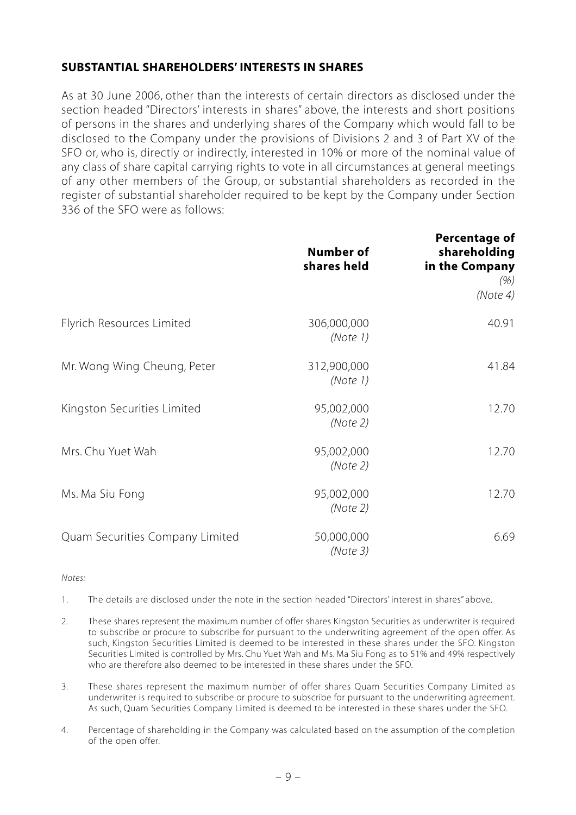#### **SUBSTANTIAL SHAREHOLDERS' INTERESTS IN SHARES**

As at 30 June 2006, other than the interests of certain directors as disclosed under the section headed "Directors' interests in shares" above, the interests and short positions of persons in the shares and underlying shares of the Company which would fall to be disclosed to the Company under the provisions of Divisions 2 and 3 of Part XV of the SFO or, who is, directly or indirectly, interested in 10% or more of the nominal value of any class of share capital carrying rights to vote in all circumstances at general meetings of any other members of the Group, or substantial shareholders as recorded in the register of substantial shareholder required to be kept by the Company under Section 336 of the SFO were as follows:

|                                 | <b>Number of</b><br>shares held | <b>Percentage of</b><br>shareholding<br>in the Company<br>(% )<br>(Note4) |
|---------------------------------|---------------------------------|---------------------------------------------------------------------------|
| Flyrich Resources Limited       | 306,000,000<br>(Note 1)         | 40.91                                                                     |
| Mr. Wong Wing Cheung, Peter     | 312,900,000<br>(Note 1)         | 41.84                                                                     |
| Kingston Securities Limited     | 95,002,000<br>(Note 2)          | 12.70                                                                     |
| Mrs. Chu Yuet Wah               | 95,002,000<br>(Note 2)          | 12.70                                                                     |
| Ms. Ma Siu Fong                 | 95,002,000<br>(Note 2)          | 12.70                                                                     |
| Quam Securities Company Limited | 50,000,000<br>(Note3)           | 6.69                                                                      |

*Notes:*

1. The details are disclosed under the note in the section headed "Directors' interest in shares" above.

- 2. These shares represent the maximum number of offer shares Kingston Securities as underwriter is required to subscribe or procure to subscribe for pursuant to the underwriting agreement of the open offer. As such, Kingston Securities Limited is deemed to be interested in these shares under the SFO. Kingston Securities Limited is controlled by Mrs. Chu Yuet Wah and Ms. Ma Siu Fong as to 51% and 49% respectively who are therefore also deemed to be interested in these shares under the SFO.
- 3. These shares represent the maximum number of offer shares Quam Securities Company Limited as underwriter is required to subscribe or procure to subscribe for pursuant to the underwriting agreement. As such, Quam Securities Company Limited is deemed to be interested in these shares under the SFO.
- 4. Percentage of shareholding in the Company was calculated based on the assumption of the completion of the open offer.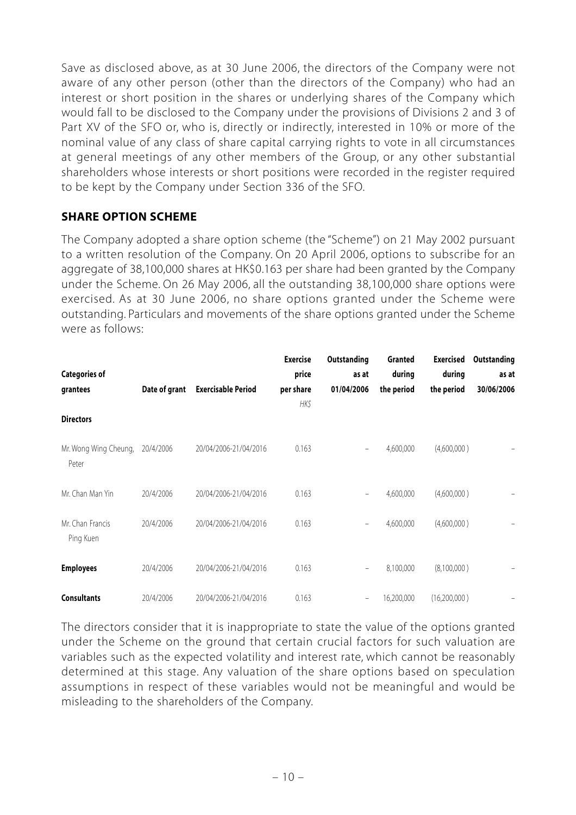Save as disclosed above, as at 30 June 2006, the directors of the Company were not aware of any other person (other than the directors of the Company) who had an interest or short position in the shares or underlying shares of the Company which would fall to be disclosed to the Company under the provisions of Divisions 2 and 3 of Part XV of the SFO or, who is, directly or indirectly, interested in 10% or more of the nominal value of any class of share capital carrying rights to vote in all circumstances at general meetings of any other members of the Group, or any other substantial shareholders whose interests or short positions were recorded in the register required to be kept by the Company under Section 336 of the SFO.

### **SHARE OPTION SCHEME**

The Company adopted a share option scheme (the "Scheme") on 21 May 2002 pursuant to a written resolution of the Company. On 20 April 2006, options to subscribe for an aggregate of 38,100,000 shares at HK\$0.163 per share had been granted by the Company under the Scheme. On 26 May 2006, all the outstanding 38,100,000 share options were exercised. As at 30 June 2006, no share options granted under the Scheme were outstanding. Particulars and movements of the share options granted under the Scheme were as follows:

| <b>Categories of</b><br>grantees<br><b>Directors</b> | Date of grant | <b>Exercisable Period</b> | <b>Exercise</b><br>price<br>per share<br>HK\$ | Outstanding<br>as at<br>01/04/2006 | <b>Granted</b><br>during<br>the period | <b>Exercised</b><br>during<br>the period | Outstanding<br>as at<br>30/06/2006 |
|------------------------------------------------------|---------------|---------------------------|-----------------------------------------------|------------------------------------|----------------------------------------|------------------------------------------|------------------------------------|
|                                                      |               |                           |                                               |                                    |                                        |                                          |                                    |
| Mr. Wong Wing Cheung,<br>Peter                       | 20/4/2006     | 20/04/2006-21/04/2016     | 0.163                                         | $\overline{\phantom{a}}$           | 4,600,000                              | (4,600,000)                              |                                    |
| Mr. Chan Man Yin                                     | 20/4/2006     | 20/04/2006-21/04/2016     | 0.163                                         | $\qquad \qquad -$                  | 4,600,000                              | (4,600,000)                              |                                    |
| Mr. Chan Francis<br>Ping Kuen                        | 20/4/2006     | 20/04/2006-21/04/2016     | 0.163                                         | $\overline{\phantom{a}}$           | 4,600,000                              | (4,600,000)                              |                                    |
| <b>Employees</b>                                     | 20/4/2006     | 20/04/2006-21/04/2016     | 0.163                                         | $\overline{\phantom{m}}$           | 8,100,000                              | (8,100,000)                              |                                    |
| <b>Consultants</b>                                   | 20/4/2006     | 20/04/2006-21/04/2016     | 0.163                                         | $\overline{\phantom{a}}$           | 16,200,000                             | (16,200,000)                             |                                    |

The directors consider that it is inappropriate to state the value of the options granted under the Scheme on the ground that certain crucial factors for such valuation are variables such as the expected volatility and interest rate, which cannot be reasonably determined at this stage. Any valuation of the share options based on speculation assumptions in respect of these variables would not be meaningful and would be misleading to the shareholders of the Company.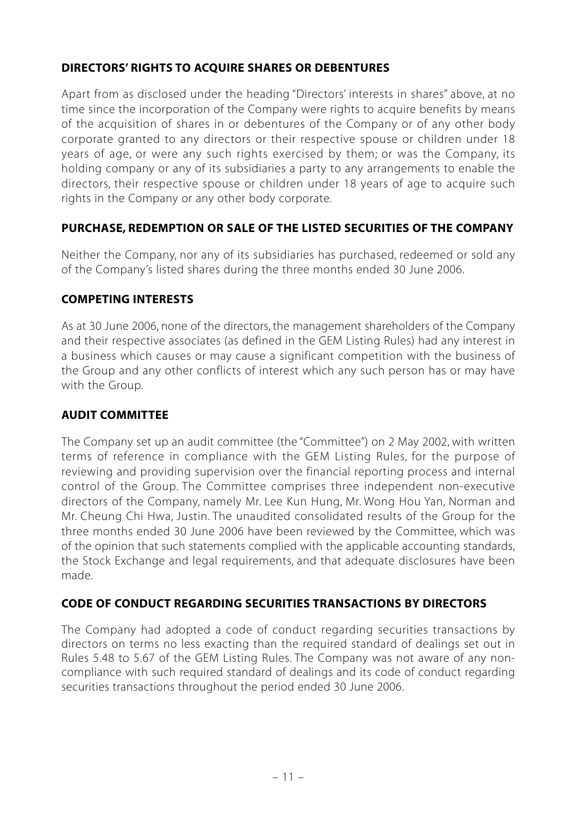# **DIRECTORS' RIGHTS TO ACQUIRE SHARES OR DEBENTURES**

Apart from as disclosed under the heading "Directors' interests in shares" above, at no time since the incorporation of the Company were rights to acquire benefits by means of the acquisition of shares in or debentures of the Company or of any other body corporate granted to any directors or their respective spouse or children under 18 years of age, or were any such rights exercised by them; or was the Company, its holding company or any of its subsidiaries a party to any arrangements to enable the directors, their respective spouse or children under 18 years of age to acquire such rights in the Company or any other body corporate.

# **PURCHASE, REDEMPTION OR SALE OF THE LISTED SECURITIES OF THE COMPANY**

Neither the Company, nor any of its subsidiaries has purchased, redeemed or sold any of the Company's listed shares during the three months ended 30 June 2006.

#### **COMPETING INTERESTS**

As at 30 June 2006, none of the directors, the management shareholders of the Company and their respective associates (as defined in the GEM Listing Rules) had any interest in a business which causes or may cause a significant competition with the business of the Group and any other conflicts of interest which any such person has or may have with the Group.

#### **AUDIT COMMITTEE**

The Company set up an audit committee (the "Committee") on 2 May 2002, with written terms of reference in compliance with the GEM Listing Rules, for the purpose of reviewing and providing supervision over the financial reporting process and internal control of the Group. The Committee comprises three independent non-executive directors of the Company, namely Mr. Lee Kun Hung, Mr. Wong Hou Yan, Norman and Mr. Cheung Chi Hwa, Justin. The unaudited consolidated results of the Group for the three months ended 30 June 2006 have been reviewed by the Committee, which was of the opinion that such statements complied with the applicable accounting standards, the Stock Exchange and legal requirements, and that adequate disclosures have been made.

### **CODE OF CONDUCT REGARDING SECURITIES TRANSACTIONS BY DIRECTORS**

The Company had adopted a code of conduct regarding securities transactions by directors on terms no less exacting than the required standard of dealings set out in Rules 5.48 to 5.67 of the GEM Listing Rules. The Company was not aware of any noncompliance with such required standard of dealings and its code of conduct regarding securities transactions throughout the period ended 30 June 2006.